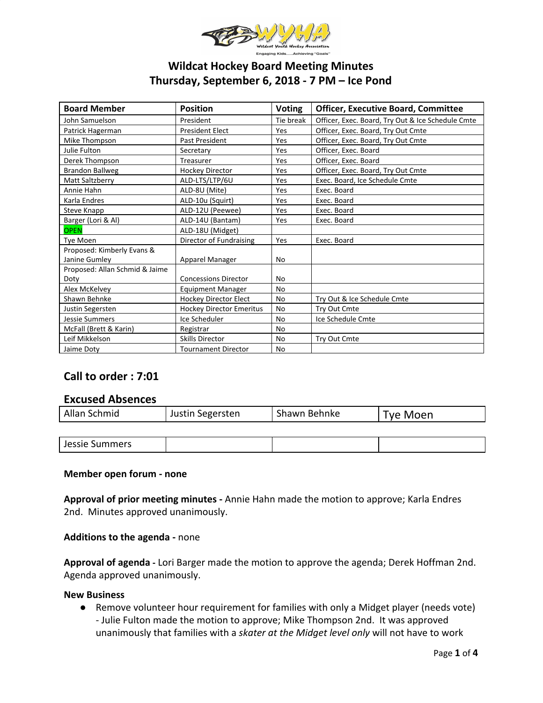

# **Wildcat Hockey Board Meeting Minutes Thursday, September 6, 2018 - 7 PM – Ice Pond**

| <b>Board Member</b>            | <b>Position</b>                 | <b>Voting</b> | <b>Officer, Executive Board, Committee</b>        |
|--------------------------------|---------------------------------|---------------|---------------------------------------------------|
| John Samuelson                 | President                       | Tie break     | Officer, Exec. Board, Try Out & Ice Schedule Cmte |
| Patrick Hagerman               | <b>President Elect</b>          | Yes           | Officer, Exec. Board, Try Out Cmte                |
| Mike Thompson                  | Past President                  | Yes           | Officer, Exec. Board, Try Out Cmte                |
| Julie Fulton                   | Secretary                       | Yes           | Officer, Exec. Board                              |
| Derek Thompson                 | Treasurer                       | Yes           | Officer, Exec. Board                              |
| Brandon Ballweg                | <b>Hockey Director</b>          | Yes           | Officer, Exec. Board, Try Out Cmte                |
| Matt Saltzberry                | ALD-LTS/LTP/6U                  | Yes           | Exec. Board, Ice Schedule Cmte                    |
| Annie Hahn                     | ALD-8U (Mite)                   | Yes           | Exec. Board                                       |
| Karla Endres                   | ALD-10u (Squirt)                | Yes           | Exec. Board                                       |
| Steve Knapp                    | ALD-12U (Peewee)                | Yes           | Exec. Board                                       |
| Barger (Lori & Al)             | ALD-14U (Bantam)                | Yes           | Exec. Board                                       |
| <b>OPEN</b>                    | ALD-18U (Midget)                |               |                                                   |
| <b>Tye Moen</b>                | Director of Fundraising         | Yes           | Exec. Board                                       |
| Proposed: Kimberly Evans &     |                                 |               |                                                   |
| Janine Gumley                  | Apparel Manager                 | No            |                                                   |
| Proposed: Allan Schmid & Jaime |                                 |               |                                                   |
| Doty                           | <b>Concessions Director</b>     | No            |                                                   |
| Alex McKelvey                  | <b>Equipment Manager</b>        | No            |                                                   |
| Shawn Behnke                   | Hockey Director Elect           | <b>No</b>     | Try Out & Ice Schedule Cmte                       |
| Justin Segersten               | <b>Hockey Director Emeritus</b> | No            | Try Out Cmte                                      |
| <b>Jessie Summers</b>          | Ice Scheduler                   | <b>No</b>     | Ice Schedule Cmte                                 |
| McFall (Brett & Karin)         | Registrar                       | <b>No</b>     |                                                   |
| Leif Mikkelson                 | <b>Skills Director</b>          | <b>No</b>     | Try Out Cmte                                      |
| Jaime Doty                     | <b>Tournament Director</b>      | No            |                                                   |

# **Call to order : 7:01**

# **Excused Absences**

| Allan Schmid | Justin Segersten | Shawn Behnke | <b>Tye Moen</b> |
|--------------|------------------|--------------|-----------------|
|              |                  |              |                 |

| Jessie Summers |  |
|----------------|--|
|----------------|--|

### **Member open forum - none**

**Approval of prior meeting minutes -** Annie Hahn made the motion to approve; Karla Endres 2nd. Minutes approved unanimously.

**Additions to the agenda -** none

**Approval of agenda -** Lori Barger made the motion to approve the agenda; Derek Hoffman 2nd. Agenda approved unanimously.

### **New Business**

● Remove volunteer hour requirement for families with only a Midget player (needs vote) - Julie Fulton made the motion to approve; Mike Thompson 2nd. It was approved unanimously that families with a *skater at the Midget level only* will not have to work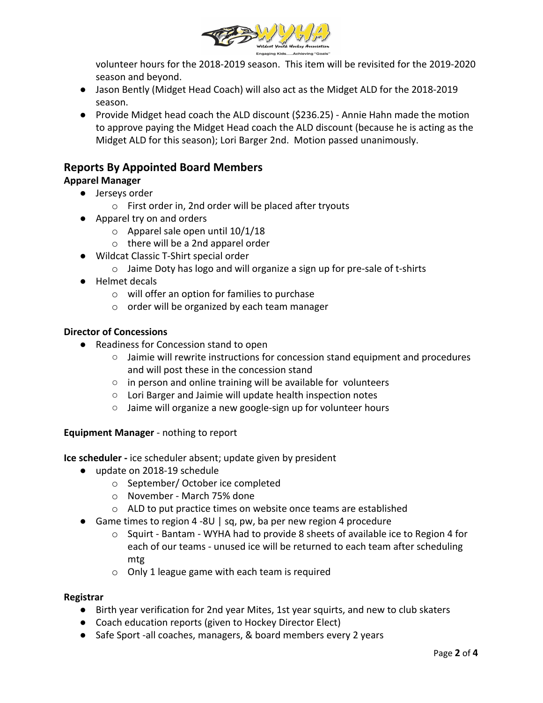

volunteer hours for the 2018-2019 season. This item will be revisited for the 2019-2020 season and beyond.

- Jason Bently (Midget Head Coach) will also act as the Midget ALD for the 2018-2019 season.
- Provide Midget head coach the ALD discount (\$236.25) Annie Hahn made the motion to approve paying the Midget Head coach the ALD discount (because he is acting as the Midget ALD for this season); Lori Barger 2nd. Motion passed unanimously.

# **Reports By Appointed Board Members**

# **Apparel Manager**

- **●** Jerseys order
	- o First order in, 2nd order will be placed after tryouts
- **●** Apparel try on and orders
	- $\circ$  Apparel sale open until 10/1/18
	- o there will be a 2nd apparel order
- **●** Wildcat Classic T-Shirt special order
	- o Jaime Doty has logo and will organize a sign up for pre-sale of t-shirts
- **●** Helmet decals
	- o will offer an option for families to purchase
	- o order will be organized by each team manager

# **Director of Concessions**

- Readiness for Concession stand to open
	- Jaimie will rewrite instructions for concession stand equipment and procedures and will post these in the concession stand
	- in person and online training will be available for volunteers
	- Lori Barger and Jaimie will update health inspection notes
	- Jaime will organize a new google-sign up for volunteer hours

# **Equipment Manager** - nothing to report

**Ice scheduler -** ice scheduler absent; update given by president

- update on 2018-19 schedule
	- o September/ October ice completed
	- o November March 75% done
	- o ALD to put practice times on website once teams are established
- Game times to region 4 -8U | sq, pw, ba per new region 4 procedure
	- $\circ$  Squirt Bantam WYHA had to provide 8 sheets of available ice to Region 4 for each of our teams - unused ice will be returned to each team after scheduling mtg
	- o Only 1 league game with each team is required

# **Registrar**

- Birth year verification for 2nd year Mites, 1st year squirts, and new to club skaters
- Coach education reports (given to Hockey Director Elect)
- Safe Sport -all coaches, managers, & board members every 2 years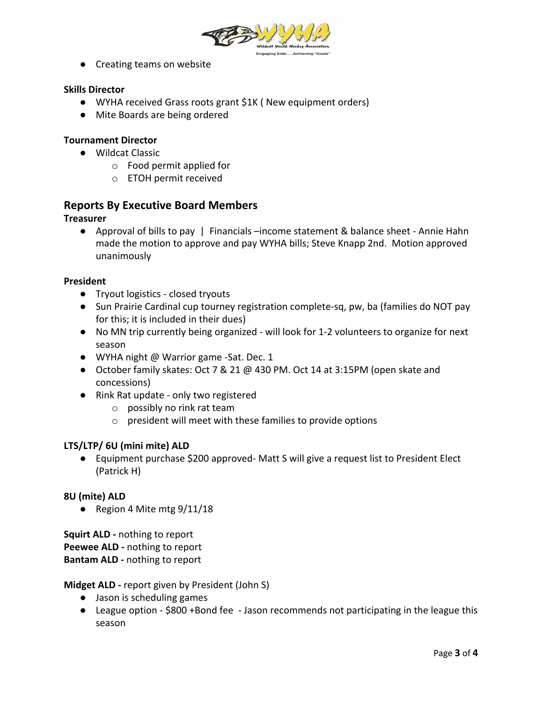

● Creating teams on website

# **Skills Director**

- WYHA received Grass roots grant \$1K ( New equipment orders)
- Mite Boards are being ordered

## **Tournament Director**

- Wildcat Classic
	- o Food permit applied for
	- o ETOH permit received

# **Reports By Executive Board Members**

## **Treasurer**

● Approval of bills to pay | Financials –income statement & balance sheet - Annie Hahn made the motion to approve and pay WYHA bills; Steve Knapp 2nd. Motion approved unanimously

### **President**

- Tryout logistics closed tryouts
- Sun Prairie Cardinal cup tourney registration complete-sq, pw, ba (families do NOT pay for this; it is included in their dues)
- No MN trip currently being organized will look for 1-2 volunteers to organize for next season
- WYHA night @ Warrior game -Sat. Dec. 1
- October family skates: Oct 7 & 21 @ 430 PM. Oct 14 at 3:15PM (open skate and concessions)
- Rink Rat update only two registered
	- o possibly no rink rat team
	- o president will meet with these families to provide options

### **LTS/LTP/ 6U (mini mite) ALD**

● Equipment purchase \$200 approved- Matt S will give a request list to President Elect (Patrick H)

### **8U (mite) ALD**

• Region 4 Mite mtg  $9/11/18$ 

**Squirt ALD -** nothing to report **Peewee ALD -** nothing to report **Bantam ALD -** nothing to report

## **Midget ALD -** report given by President (John S)

- Jason is scheduling games
- League option \$800 +Bond fee Jason recommends not participating in the league this season